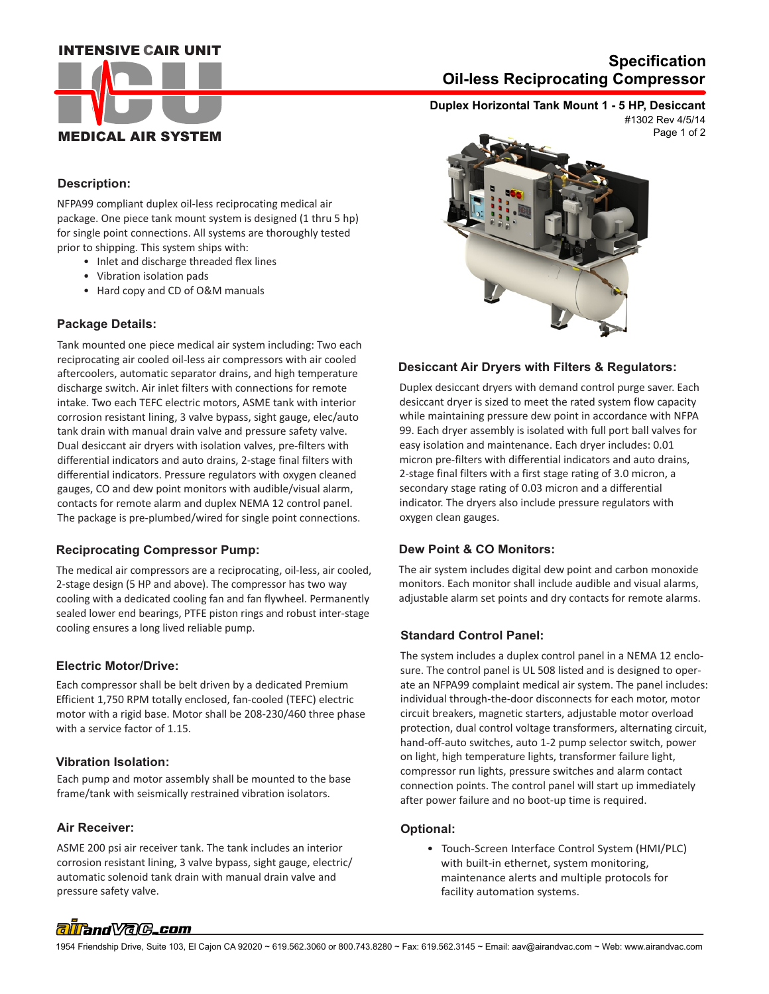## **INTENSIVE CAIR UNIT**



# **Oil-less Reciprocating Compressor Specification**

**Duplex Horizontal Tank Mount 1 - 5 HP, Desiccant**

Page 1 of 2 #1302 Rev 4/5/14

## **Description:**

NFPA99 compliant duplex oil-less reciprocating medical air package. One piece tank mount system is designed (1 thru 5 hp) for single point connections. All systems are thoroughly tested prior to shipping. This system ships with:

- Inlet and discharge threaded flex lines
- Vibration isolation pads
- Hard copy and CD of O&M manuals

## **Package Details:**

Tank mounted one piece medical air system including: Two each reciprocating air cooled oil-less air compressors with air cooled aftercoolers, automatic separator drains, and high temperature discharge switch. Air inlet filters with connections for remote intake. Two each TEFC electric motors, ASME tank with interior corrosion resistant lining, 3 valve bypass, sight gauge, elec/auto tank drain with manual drain valve and pressure safety valve. Dual desiccant air dryers with isolation valves, pre-filters with differential indicators and auto drains, 2-stage final filters with differential indicators. Pressure regulators with oxygen cleaned gauges, CO and dew point monitors with audible/visual alarm, contacts for remote alarm and duplex NEMA 12 control panel. The package is pre-plumbed/wired for single point connections.

## **Reciprocating Compressor Pump:**

The medical air compressors are a reciprocating, oil-less, air cooled, 2-stage design (5 HP and above). The compressor has two way cooling with a dedicated cooling fan and fan flywheel. Permanently sealed lower end bearings, PTFE piston rings and robust inter-stage cooling ensures a long lived reliable pump.

#### **Electric Motor/Drive:**

Each compressor shall be belt driven by a dedicated Premium Efficient 1,750 RPM totally enclosed, fan-cooled (TEFC) electric motor with a rigid base. Motor shall be 208-230/460 three phase with a service factor of 1.15.

#### **Vibration Isolation:**

Each pump and motor assembly shall be mounted to the base frame/tank with seismically restrained vibration isolators.

## **Air Receiver:**

 pressure safety valve. ASME 200 psi air receiver tank. The tank includes an interior corrosion resistant lining, 3 valve bypass, sight gauge, electric/ automatic solenoid tank drain with manual drain valve and



### **Desiccant Air Dryers with Filters & Regulators:**

Duplex desiccant dryers with demand control purge saver. Each desiccant dryer is sized to meet the rated system flow capacity while maintaining pressure dew point in accordance with NFPA 99. Each dryer assembly is isolated with full port ball valves for easy isolation and maintenance. Each dryer includes: 0.01 micron pre-filters with differential indicators and auto drains, 2-stage final filters with a first stage rating of 3.0 micron, a secondary stage rating of 0.03 micron and a differential indicator. The dryers also include pressure regulators with oxygen clean gauges.

#### **Dew Point & CO Monitors:**

The air system includes digital dew point and carbon monoxide monitors. Each monitor shall include audible and visual alarms, adjustable alarm set points and dry contacts for remote alarms.

#### **Standard Control Panel:**

The system includes a duplex control panel in a NEMA 12 enclosure. The control panel is UL 508 listed and is designed to operate an NFPA99 complaint medical air system. The panel includes: individual through-the-door disconnects for each motor, motor circuit breakers, magnetic starters, adjustable motor overload protection, dual control voltage transformers, alternating circuit, hand-off-auto switches, auto 1-2 pump selector switch, power on light, high temperature lights, transformer failure light, compressor run lights, pressure switches and alarm contact connection points. The control panel will start up immediately after power failure and no boot-up time is required.

#### **Optional:**

 • Touch-Screen Interface Control System (HMI/PLC) with built-in ethernet, system monitoring, maintenance alerts and multiple protocols for facility automation systems.

# alland *Vale\_com*

1954 Friendship Drive, Suite 103, El Cajon CA 92020 ~ 619.562.3060 or 800.743.8280 ~ Fax: 619.562.3145 ~ Email: aav@airandvac.com ~ Web: www.airandvac.com